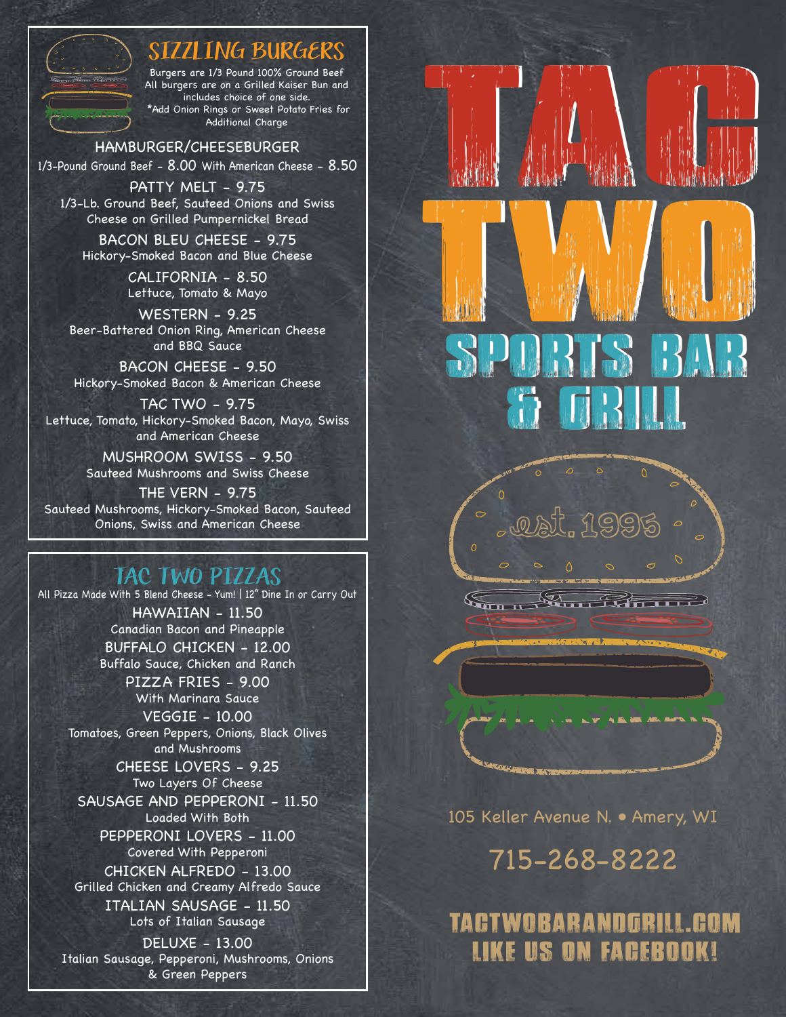## SIZZLING BURGERS

Burgers are 1/3 Pound 100% Ground Beef All burgers are on a Grilled Kaiser Bun and includes choice of one side. \*Add Onion Rings or Sweet Potato Fries for Additional Charge

#### HAMBURGER/CHEESEBURGER

1/3-Pound Ground Beef - 8.00 With American Cheese - 8.50

PATTY MELT - 9.75 1/3-Lb. Ground Beef, Sauteed Onions and Swiss Cheese on Grilled Pumpernickel Bread

BACON BLEU CHEESE - 9.75 Hickory-Smoked Bacon and Blue Cheese

> CALIFORNIA - 8.50 Lettuce, Tomato & Mayo

WESTERN - 9.25 Beer-Battered Onion Ring, American Cheese and BBQ Sauce

BACON CHEESE - 9.50 Hickory-Smoked Bacon & American Cheese

TAC TWO - 9.75 Lettuce, Tomato, Hickory-Smoked Bacon, Mayo, Swiss and American Cheese

> MUSHROOM SWISS - 9.50 Sauteed Mushrooms and Swiss Cheese

THE VERN - 9.75 Sauteed Mushrooms, Hickory-Smoked Bacon, Sauteed Onions, Swiss and American Cheese

#### TAC TWO PIZZAS

All Pizza Made With 5 Blend Cheese - Yum! | 12" Dine In or Carry Out HAWAIIAN - 11.50 Canadian Bacon and Pineapple BUFFALO CHICKEN - 12.00 Buffalo Sauce, Chicken and Ranch PIZZA FRIES - 9.00 With Marinara Sauce VEGGIE - 10.00 Tomatoes, Green Peppers, Onions, Black Olives and Mushrooms CHEESE LOVERS - 9.25 Two Layers Of Cheese SAUSAGE AND PEPPERONI - 11.50 Loaded With Both PEPPERONI LOVERS - 11.00 Covered With Pepperoni CHICKEN ALFREDO - 13.00 Grilled Chicken and Creamy Alfredo Sauce ITALIAN SAUSAGE - 11.50 Lots of Italian Sausage DELUXE - 13.00 Italian Sausage, Pepperoni, Mushrooms, Onions & Green Peppers



 $E_{\rm m}$ 

 $\sqrt{2}$ 

105 Keller Avenue N. • Amery, WI

Serben der Schweizer

715-268-8222

TACTWOBARANDGRILL.COM LIKE US ON FACEBOOK!